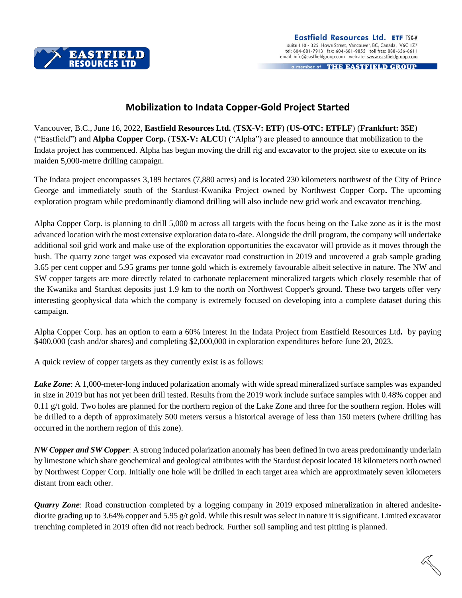

a member of THE EASTFIELD GROUP

## **Mobilization to Indata Copper-Gold Project Started**

Vancouver, B.C., June 16, 2022, **Eastfield Resources Ltd.** (**TSX-V: ETF**) (**US-OTC: ETFLF**) (**Frankfurt: 35E**) ("Eastfield") and **Alpha Copper Corp.** (**TSX-V: ALCU**) ("Alpha") are pleased to announce that mobilization to the Indata project has commenced. Alpha has begun moving the drill rig and excavator to the project site to execute on its maiden 5,000-metre drilling campaign.

The Indata project encompasses 3,189 hectares (7,880 acres) and is located 230 kilometers northwest of the City of Prince George and immediately south of the Stardust-Kwanika Project owned by Northwest Copper Corp**.** The upcoming exploration program while predominantly diamond drilling will also include new grid work and excavator trenching.

Alpha Copper Corp. is planning to drill 5,000 m across all targets with the focus being on the Lake zone as it is the most advanced location with the most extensive exploration data to-date. Alongside the drill program, the company will undertake additional soil grid work and make use of the exploration opportunities the excavator will provide as it moves through the bush. The quarry zone target was exposed via excavator road construction in 2019 and uncovered a grab sample grading 3.65 per cent copper and 5.95 grams per tonne gold which is extremely favourable albeit selective in nature. The NW and SW copper targets are more directly related to carbonate replacement mineralized targets which closely resemble that of the Kwanika and Stardust deposits just 1.9 km to the north on Northwest Copper's ground. These two targets offer very interesting geophysical data which the company is extremely focused on developing into a complete dataset during this campaign.

Alpha Copper Corp. has an option to earn a 60% interest In the Indata Project from Eastfield Resources Ltd**.** by paying \$400,000 (cash and/or shares) and completing \$2,000,000 in exploration expenditures before June 20, 2023.

A quick review of copper targets as they currently exist is as follows:

*Lake Zone*: A 1,000-meter-long induced polarization anomaly with wide spread mineralized surface samples was expanded in size in 2019 but has not yet been drill tested. Results from the 2019 work include surface samples with 0.48% copper and 0.11 g/t gold. Two holes are planned for the northern region of the Lake Zone and three for the southern region. Holes will be drilled to a depth of approximately 500 meters versus a historical average of less than 150 meters (where drilling has occurred in the northern region of this zone).

*NW Copper and SW Copper*: A strong induced polarization anomaly has been defined in two areas predominantly underlain by limestone which share geochemical and geological attributes with the Stardust deposit located 18 kilometers north owned by Northwest Copper Corp. Initially one hole will be drilled in each target area which are approximately seven kilometers distant from each other.

*Quarry Zone*: Road construction completed by a logging company in 2019 exposed mineralization in altered andesitediorite grading up to 3.64% copper and 5.95 g/t gold. While this result was select in nature it is significant. Limited excavator trenching completed in 2019 often did not reach bedrock. Further soil sampling and test pitting is planned.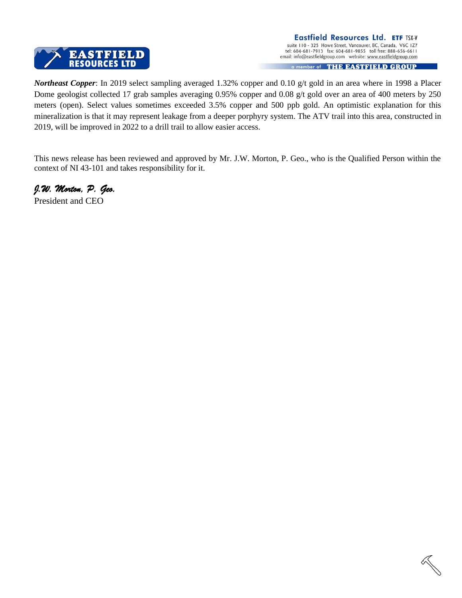

*Northeast Copper*: In 2019 select sampling averaged 1.32% copper and 0.10 g/t gold in an area where in 1998 a Placer Dome geologist collected 17 grab samples averaging 0.95% copper and 0.08 g/t gold over an area of 400 meters by 250 meters (open). Select values sometimes exceeded 3.5% copper and 500 ppb gold. An optimistic explanation for this mineralization is that it may represent leakage from a deeper porphyry system. The ATV trail into this area, constructed in 2019, will be improved in 2022 to a drill trail to allow easier access.

This news release has been reviewed and approved by Mr. J.W. Morton, P. Geo., who is the Qualified Person within the context of NI 43-101 and takes responsibility for it.

*J.W. Morton, P. Geo.*

President and CEO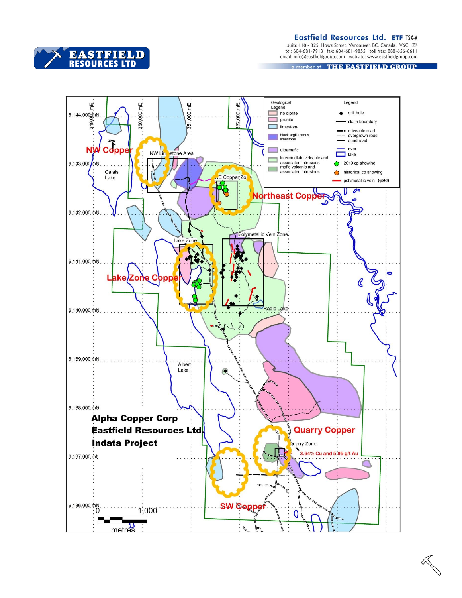Eastfield Resources Ltd. ETF TSX-V

suite 110 - 325 Howe Street, Vancouver, BC, Canada, V6C 1Z7<br>tel: 604-681-7913 fax: 604-681-9855 toll free: 888-656-6611<br>email: info@eastfieldgroup.com website: www.eastfieldgroup.com

a member of THE EASTFIELD GROUP



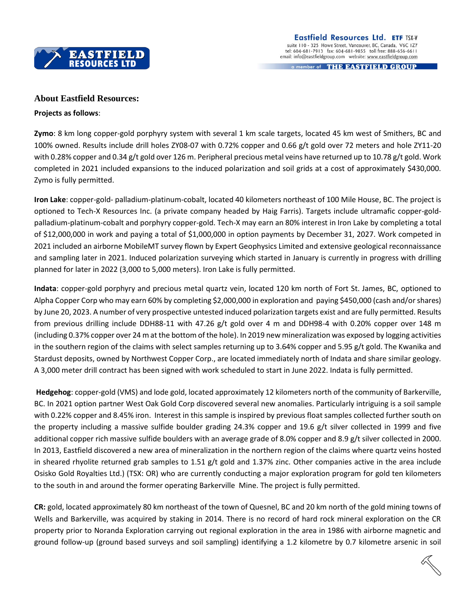

a member of THE EASTFIELD GROUP

## **About Eastfield Resources:**

## **Projects as follows**:

**Zymo**: 8 km long copper-gold porphyry system with several 1 km scale targets, located 45 km west of Smithers, BC and 100% owned. Results include drill holes ZY08-07 with 0.72% copper and 0.66 g/t gold over 72 meters and hole ZY11-20 with 0.28% copper and 0.34 g/t gold over 126 m. Peripheral precious metal veins have returned up to 10.78 g/t gold. Work completed in 2021 included expansions to the induced polarization and soil grids at a cost of approximately \$430,000. Zymo is fully permitted.

**Iron Lake**: copper-gold- palladium-platinum-cobalt, located 40 kilometers northeast of 100 Mile House, BC. The project is optioned to Tech-X Resources Inc. (a private company headed by Haig Farris). Targets include ultramafic copper-goldpalladium-platinum-cobalt and porphyry copper-gold. Tech-X may earn an 80% interest in Iron Lake by completing a total of \$12,000,000 in work and paying a total of \$1,000,000 in option payments by December 31, 2027. Work competed in 2021 included an airborne MobileMT survey flown by Expert Geophysics Limited and extensive geological reconnaissance and sampling later in 2021. Induced polarization surveying which started in January is currently in progress with drilling planned for later in 2022 (3,000 to 5,000 meters). Iron Lake is fully permitted.

**Indata**: copper-gold porphyry and precious metal quartz vein, located 120 km north of Fort St. James, BC, optioned to Alpha Copper Corp who may earn 60% by completing \$2,000,000 in exploration and paying \$450,000 (cash and/or shares) by June 20, 2023. A number of very prospective untested induced polarization targets exist and are fully permitted. Results from previous drilling include DDH88-11 with 47.26 g/t gold over 4 m and DDH98-4 with 0.20% copper over 148 m (including 0.37% copper over 24 m at the bottom of the hole). In 2019 new mineralization was exposed by logging activities in the southern region of the claims with select samples returning up to 3.64% copper and 5.95 g/t gold. The Kwanika and Stardust deposits, owned by Northwest Copper Corp., are located immediately north of Indata and share similar geology. A 3,000 meter drill contract has been signed with work scheduled to start in June 2022. Indata is fully permitted.

**Hedgehog**: copper-gold (VMS) and lode gold, located approximately 12 kilometers north of the community of Barkerville, BC. In 2021 option partner West Oak Gold Corp discovered several new anomalies. Particularly intriguing is a soil sample with 0.22% copper and 8.45% iron. Interest in this sample is inspired by previous float samples collected further south on the property including a massive sulfide boulder grading 24.3% copper and 19.6 g/t silver collected in 1999 and five additional copper rich massive sulfide boulders with an average grade of 8.0% copper and 8.9 g/t silver collected in 2000. In 2013, Eastfield discovered a new area of mineralization in the northern region of the claims where quartz veins hosted in sheared rhyolite returned grab samples to 1.51 g/t gold and 1.37% zinc. Other companies active in the area include Osisko Gold Royalties Ltd.) (TSX: OR) who are currently conducting a major exploration program for gold ten kilometers to the south in and around the former operating Barkerville Mine. The project is fully permitted.

**CR:** gold, located approximately 80 km northeast of the town of Quesnel, BC and 20 km north of the gold mining towns of Wells and Barkerville, was acquired by staking in 2014. There is no record of hard rock mineral exploration on the CR property prior to Noranda Exploration carrying out regional exploration in the area in 1986 with airborne magnetic and ground follow-up (ground based surveys and soil sampling) identifying a 1.2 kilometre by 0.7 kilometre arsenic in soil